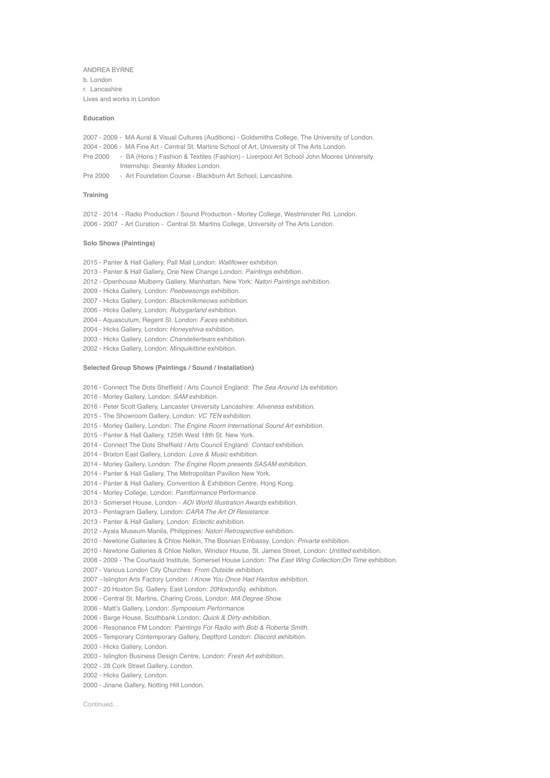ANDREA BYRNE b. London r. Lancashire Lives and works in London

## **Education**

2007 - 2009 - MA Aural & Visual Cultures (Auditions) - Goldsmiths College, The University of London. 2004 - 2006 - MA Fine Art - Central St. Martins School of Art, University of The Arts London. Pre 2000 - BA (Hons.) Fashion & Textiles (Fashion) - Liverpool Art School John Moores University. Internship: *Swanky Modes* London.

Pre 2000 - Art Foundation Course - Blackburn Art School, Lancashire.

## **Training**

2012 - 2014 - Radio Production / Sound Production - Morley College, Westminster Rd. London. 2006 - 2007 - Art Curation - Central St. Martins College, University of The Arts London.

#### **Solo Shows (Paintings)**

2015 - Panter & Hall Gallery, Pall Mall London: *Wallflower* exhibition.

- 2013 Panter & Hall Gallery, One New Change London: *Paintings* exhibition.
- 2012 Openhouse Mulberry Gallery, Manhattan, New York: *Natori Paintings* exhibition.

2009 - Hicks Gallery, London: *Peebeesongs* exhibition.

2007 - Hicks Gallery, London: *Blackmilkmeows* exhibition.

2006 - Hicks Gallery, London: *Rubygarland* exhibition.

2004 - Aquascutum, Regent St. London: *Faces* exhibition.

- 2004 Hicks Gallery, London: *Honeyshiva* exhibition.
- 2003 Hicks Gallery, London: *Chandeliertears* exhibition.

2002 - Hicks Gallery, London: *Minquikittine* exhibition.

# **Selected Group Shows (Paintings / Sound / Installation)**

2016 - Connect The Dots Sheffield / Arts Council England: *The Sea Around Us* exhibition.

- 2016 Morley Gallery, London: *SAM* exhibition.
- 2016 Peter Scott Gallery, Lancaster University Lancashire: *Aliveness* exhibition.

2015 - The Showroom Gallery, London: *VC TEN* exhibition.

2015 - Morley Gallery, London: *The Engine Room International Sound Art* exhibition.

2015 *-* Panter & Hall Gallery, 125th West 18th St. New York.

2014 - Connect The Dots Sheffield / Arts Council England: *Contact* exhibition.

2014 - Brixton East Gallery, London: *Love & Music* exhibition.

2014 - Morley Gallery, London: *The Engine Room presents SASAM* exhibition.

2014 - Panter & Hall Gallery, The Metropolitan Pavilion New York.

2014 - Panter & Hall Gallery, Convention & Exhibition Centre, Hong Kong.

- 2014 Morley College, London: *Paintformance* Performance.
- 2013 Somerset House, London *AOI World Illustration Awards* exhibition.
- 2013 Pentagram Gallery, London: *CARA The Art Of Resistance.*
- 2013 Panter & Hall Gallery, London: *Eclectic* exhibition.
- 2012 Ayala Museum Manila, Philippines: *Natori Retrospective* exhibition.
- 2010 Newtone Galleries & Chloe Nelkin, The Bosnian Embassy, London: *Privarte* exhibition.
- 2010 Newtone Galleries & Chloe Nelkin, Windsor House, St. James Street, London: *Untitled* exhibition.
- 2008 2009 The Courtauld Institute, Somerset House London: *The East Wing Collection;On Time* exhibition.
- 2007 Various London City Churches: *From Outside e*xhibition.
- 2007Islington Arts Factory London: *I Know You Once Had Hairdos e*xhibition.

2007 - 20 Hoxton Sq. Gallery, East London: *20HoxtonSq. e*xhibition.

- 2006 Central St. Martins, Charing Cross, London: *MA Degree Show.*
- 2006 Matt's Gallery, London: *Symposium Performance.*
- 2006 Barge House, Southbank London: *Quick & Dirty e*xhibition.
- 2006 Resonance FM London: *Paintings For Radio with Bob & Roberta Smith.*

2005 - Temporary Contemporary Gallery, Deptford London: *Discord e*xhibition.

- 2003 Hicks Gallery, London.
- 2003 Islington Business Design Centre, London: *Fresh Art* exhibition.
- 2002 28 Cork Street Gallery, London.
- 2002 Hicks Gallery, London.
- 2000 Jinane Gallery, Notting Hill London.

Continued…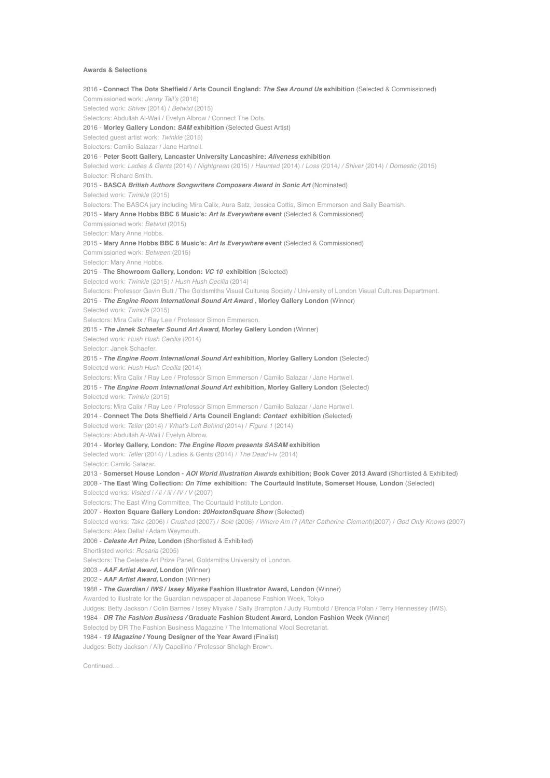# **Awards & Selections**

2016 **- Connect The Dots Sheffield / Arts Council England:** *The Sea Around Us* **exhibition** (Selected & Commissioned) Commissioned work: *Jenny Tail's* (2016) Selected work: *Shiver* (2014) / *Betwixt* (2015) Selectors: Abdullah Al-Wali / Evelyn Albrow / Connect The Dots. 2016 - **Morley Gallery London:** *SAM* **exhibition** (Selected Guest Artist) Selected guest artist work: *Twinkle* (2015) Selectors: Camilo Salazar / Jane Hartnell. 2016 - **Peter Scott Gallery, Lancaster University Lancashire:** *Aliveness* **exhibition** Selected work: *Ladies & Gents* (2014) / *Nightgreen* (2015) / *Haunted* (2014) / *Loss* (2014*) / Shiver* (2014) / *Domestic* (2015) Selector: Richard Smith. 2015 - **BASCA** *British Authors Songwriters Composers Award in Sonic Art* (Nominated) Selected work: *Twinkle* (2015) Selectors: The BASCA jury including Mira Calix, Aura Satz, Jessica Cottis, Simon Emmerson and Sally Beamish. 2015 - **Mary Anne Hobbs BBC 6 Music's:** *Art Is Everywhere* **event** (Selected & Commissioned) Commissioned work: *Betwixt* (2015) Selector: Mary Anne Hobbs. 2015 - **Mary Anne Hobbs BBC 6 Music's:** *Art Is Everywhere* **event** (Selected & Commissioned) Commissioned work: *Between* (2015) Selector: Mary Anne Hobbs. 2015 - **The Showroom Gallery, London:** *VC 10* **exhibition** (Selected) Selected work: *Twinkle* (2015) / *Hush Hush Cecilia* (2014) Selectors: Professor Gavin Butt / The Goldsmiths Visual Cultures Society / University of London Visual Cultures Department. 2015 - *The Engine Room International Sound Art Award ,* **Morley Gallery London** (Winner) Selected work: *Twinkle* (2015) Selectors: Mira Calix / Ray Lee / Professor Simon Emmerson. 2015 - *The Janek Schaefer Sound Art Award,* **Morley Gallery London** (Winner) Selected work: *Hush Hush Cecilia* (2014) Selector: Janek Schaefer. 2015 - *The Engine Room International Sound Art* **exhibition, Morley Gallery London** (Selected) Selected work: *Hush Hush Cecilia* (2014) Selectors: Mira Calix / Ray Lee / Professor Simon Emmerson / Camilo Salazar / Jane Hartwell. 2015 - *The Engine Room International Sound Art e***xhibition***,* **Morley Gallery London** (Selected) Selected work: *Twinkle* (2015) Selectors: Mira Calix / Ray Lee / Professor Simon Emmerson / Camilo Salazar / Jane Hartwell. 2014 - **Connect The Dots Sheffield / Arts Council England:** *Contact* **exhibition** (Selected) Selected work: *Teller* (2014) / *What's Left Behind* (2014) / *Figure 1* (2014) Selectors: Abdullah Al-Wali / Evelyn Albrow. 2014 - **Morley Gallery, London:** *The Engine Room presents SASAM* **exhibition** Selected work: *Teller* (2014) / Ladies & Gents (2014) / *The Dead* i-iv (2014) Selector: Camilo Salazar. 2013 - **Somerset House London -** *AOI World Illustration Awards* **exhibition; Book Cover 2013 Award** (Shortlisted & Exhibited) 2008 - **The East Wing Collection:** *On Time* **exhibition: The Courtauld Institute, Somerset House, London** (Selected) Selected works: *Visited i / ii / iii / IV / V* (2007) Selectors: The East Wing Committee, The Courtauld Institute London. 2007 - **Hoxton Square Gallery London:** *20HoxtonSquare Show* (Selected) Selected works: *Take* (2006) / *Crushed* (2007) / *Sole* (2006) */ Where Am I? (After Catherine Clement*)(2007) / *God Only Knows* (2007) Selectors: Alex Dellal / Adam Weymouth. 2006 - *Celeste Art Prize***, London** (Shortlisted & Exhibited) Shortlisted works: *Rosaria* (2005) Selectors: The Celeste Art Prize Panel, Goldsmiths University of London. 2003 - *AAF Artist Award,* **London** (Winner) 2002 - *AAF Artist Award,* **London** (Winner) 1988 - *The Guardian* **/** *IWS* **/** *Issey Miyake* **Fashion Illustrator Award, London** (Winner) Awarded to illustrate for the Guardian newspaper at Japanese Fashion Week, Tokyo Judges: Betty Jackson / Colin Barnes / Issey Miyake / Sally Brampton / Judy Rumbold / Brenda Polan / Terry Hennessey (IWS). 1984 - *DR The Fashion Business /* **Graduate Fashion Student Award, London Fashion Week** (Winner) Selected by DR The Fashion Business Magazine / The International Wool Secretariat. 1984 - *19 Magazine* **/ Young Designer of the Year Award** (Finalist) Judges: Betty Jackson / Ally Capellino / Professor Shelagh Brown.

Continued…